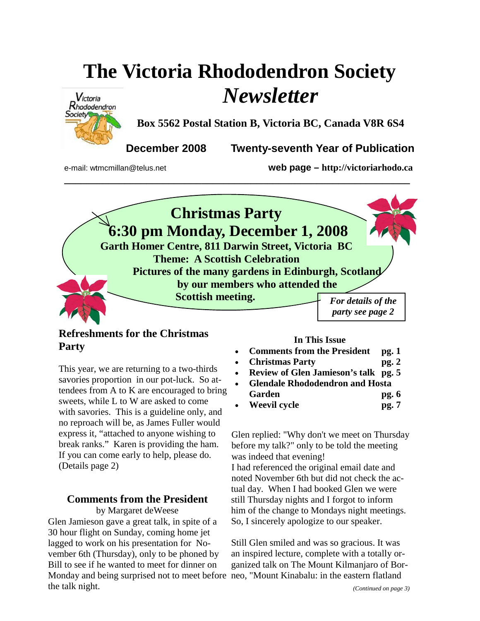# **The Victoria Rhododendron Society**  *Newsletter*



**Box 5562 Postal Station B, Victoria BC, Canada V8R 6S4** 

**December 2008 Twenty-seventh Year of Publication** 

e-mail: wtmcmillan@telus.net **web page – http://victoriarhodo.ca**



### **Refreshments for the Christmas Party**

This year, we are returning to a two-thirds savories proportion in our pot-luck. So attendees from A to K are encouraged to bring sweets, while L to W are asked to come with savories. This is a guideline only, and no reproach will be, as James Fuller would express it, "attached to anyone wishing to break ranks." Karen is providing the ham. If you can come early to help, please do. (Details page 2)

## **Comments from the President**

Monday and being surprised not to meet before neo, "Mount Kinabalu: in the eastern flatland by Margaret deWeese Glen Jamieson gave a great talk, in spite of a 30 hour flight on Sunday, coming home jet lagged to work on his presentation for November 6th (Thursday), only to be phoned by Bill to see if he wanted to meet for dinner on the talk night.

#### **In This Issue**

- **Comments from the President pg. 1**
- **Christmas Party pg. 2**
- **Review of Glen Jamieson's talk pg. 5**
- **Glendale Rhododendron and Hosta**
- Garden pg. 6
- **Weevil cycle pg. 7**

Glen replied: "Why don't we meet on Thursday before my talk?" only to be told the meeting was indeed that evening! I had referenced the original email date and noted November 6th but did not check the actual day. When I had booked Glen we were

still Thursday nights and I forgot to inform him of the change to Mondays night meetings. So, I sincerely apologize to our speaker.

Still Glen smiled and was so gracious. It was an inspired lecture, complete with a totally organized talk on The Mount Kilmanjaro of Bor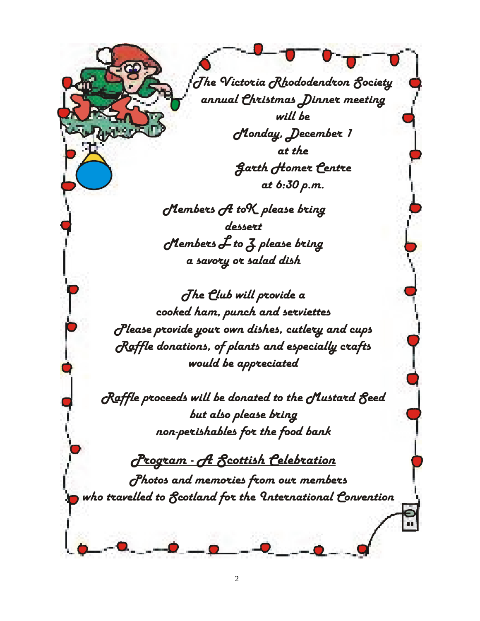*The Victoria Rhododendron Society annual Christmas Dinner meeting will be Monday, December 1 at the Garth Homer Centre at 6:30 p.m.*

*Members A toK please bring dessert Members L to Z please bring a savory or salad dish*

*The Club will provide a cooked ham, punch and serviettes Please provide your own dishes, cutlery and cups Raffle donations, of plants and especially crafts would be appreciated*

*Raffle proceeds will be donated to the Mustard Seed but also please bring non-perishables for the food bank*

*Photos and memories from our members who travelled to Scotland for the International Convention Program - A Scottish Celebration*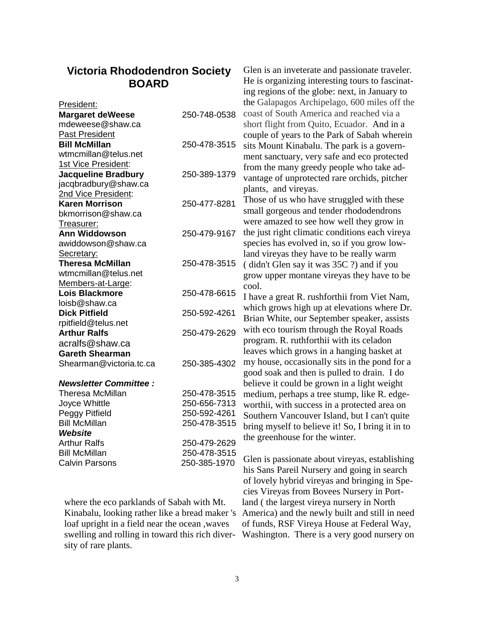# **Victoria Rhododendron Society BOARD**

|                                        |                              | ing regions of the globe: next, in January to    |
|----------------------------------------|------------------------------|--------------------------------------------------|
| President:                             |                              | the Galapagos Archipelago, 600 miles off the     |
| <b>Margaret deWeese</b>                | 250-748-0538                 | coast of South America and reached via a         |
| mdeweese@shaw.ca                       |                              | short flight from Quito, Ecuador. And in a       |
| <b>Past President</b>                  |                              | couple of years to the Park of Sabah wherein     |
| <b>Bill McMillan</b>                   | 250-478-3515                 | sits Mount Kinabalu. The park is a govern-       |
| wtmcmillan@telus.net                   |                              | ment sanctuary, very safe and eco protected      |
| 1st Vice President:                    |                              | from the many greedy people who take ad-         |
| <b>Jacqueline Bradbury</b>             | 250-389-1379                 | vantage of unprotected rare orchids, pitcher     |
| jacqbradbury@shaw.ca                   |                              |                                                  |
| <b>2nd Vice President:</b>             |                              | plants, and vireyas.                             |
| <b>Karen Morrison</b>                  | 250-477-8281                 | Those of us who have struggled with these        |
| bkmorrison@shaw.ca                     |                              | small gorgeous and tender rhododendrons          |
| Treasurer:                             |                              | were amazed to see how well they grow in         |
| <b>Ann Widdowson</b>                   | 250-479-9167                 | the just right climatic conditions each vireya   |
| awiddowson@shaw.ca                     |                              | species has evolved in, so if you grow low-      |
| Secretary:                             |                              | land vireyas they have to be really warm         |
| <b>Theresa McMillan</b>                | 250-478-3515                 | (didn't Glen say it was 35C ?) and if you        |
| wtmcmillan@telus.net                   |                              | grow upper montane vireyas they have to be       |
| Members-at-Large:                      |                              | cool.                                            |
| <b>Lois Blackmore</b>                  | 250-478-6615                 | I have a great R. rushforthii from Viet Nam,     |
| loisb@shaw.ca                          |                              | which grows high up at elevations where Dr.      |
| <b>Dick Pitfield</b>                   | 250-592-4261                 | Brian White, our September speaker, assists      |
| rpitfield@telus.net                    |                              | with eco tourism through the Royal Roads         |
| <b>Arthur Ralfs</b>                    | 250-479-2629                 | program. R. ruthforthii with its celadon         |
| acralfs@shaw.ca                        |                              | leaves which grows in a hanging basket at        |
| <b>Gareth Shearman</b>                 |                              |                                                  |
| Shearman@victoria.tc.ca                | 250-385-4302                 | my house, occasionally sits in the pond for a    |
|                                        |                              | good soak and then is pulled to drain. I do      |
| <b>Newsletter Committee:</b>           |                              | believe it could be grown in a light weight      |
| Theresa McMillan                       | 250-478-3515                 | medium, perhaps a tree stump, like R. edge-      |
| Joyce Whittle                          | 250-656-7313                 | worthii, with success in a protected area on     |
| Peggy Pitfield<br><b>Bill McMillan</b> | 250-592-4261<br>250-478-3515 | Southern Vancouver Island, but I can't quite     |
| Website                                |                              | bring myself to believe it! So, I bring it in to |
| <b>Arthur Ralfs</b>                    | 250-479-2629                 | the greenhouse for the winter.                   |
| <b>Bill McMillan</b>                   | 250-478-3515                 |                                                  |
| <b>Calvin Parsons</b>                  | 250-385-1970                 | Glen is passionate about vireyas, establishing   |
|                                        |                              | his Sans Pareil Nursery and going in search      |
|                                        |                              | of lovely hybrid vireyas and bringing in Spe-    |
|                                        |                              | cies Vireyas from Bovees Nursery in Port-        |

where the eco parklands of Sabah with Mt. loaf upright in a field near the ocean ,waves sity of rare plants.

Kinabalu, looking rather like a bread maker 's America) and the newly built and still in need swelling and rolling in toward this rich diver-Washington. There is a very good nursery on of lovely hybrid vireyas and bringing in Speland ( the largest vireya nursery in North of funds, RSF Vireya House at Federal Way,

Glen is an inveterate and passionate traveler. He is organizing interesting tours to fascinat-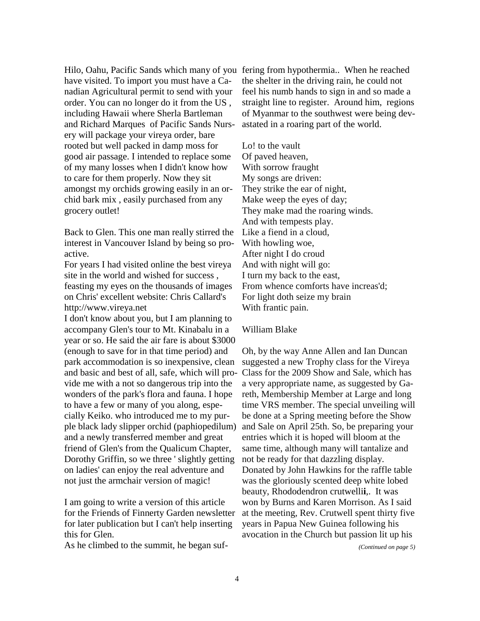Hilo, Oahu, Pacific Sands which many of you fering from hypothermia.. When he reached have visited. To import you must have a Canadian Agricultural permit to send with your order. You can no longer do it from the US , including Hawaii where Sherla Bartleman and Richard Marques of Pacific Sands Nursery will package your vireya order, bare rooted but well packed in damp moss for good air passage. I intended to replace some of my many losses when I didn't know how to care for them properly. Now they sit amongst my orchids growing easily in an orchid bark mix , easily purchased from any grocery outlet!

Back to Glen. This one man really stirred the interest in Vancouver Island by being so proactive.

For years I had visited online the best vireya site in the world and wished for success , feasting my eyes on the thousands of images on Chris' excellent website: Chris Callard's http://www.vireya.net

I don't know about you, but I am planning to accompany Glen's tour to Mt. Kinabalu in a year or so. He said the air fare is about \$3000 (enough to save for in that time period) and park accommodation is so inexpensive, clean and basic and best of all, safe, which will provide me with a not so dangerous trip into the wonders of the park's flora and fauna. I hope to have a few or many of you along, especially Keiko. who introduced me to my purple black lady slipper orchid (paphiopedilum) and a newly transferred member and great friend of Glen's from the Qualicum Chapter, Dorothy Griffin, so we three ' slightly getting on ladies' can enjoy the real adventure and not just the armchair version of magic!

I am going to write a version of this article for the Friends of Finnerty Garden newsletter for later publication but I can't help inserting this for Glen.

As he climbed to the summit, he began suf-

the shelter in the driving rain, he could not feel his numb hands to sign in and so made a straight line to register. Around him, regions of Myanmar to the southwest were being devastated in a roaring part of the world.

Lo! to the vault Of paved heaven, With sorrow fraught My songs are driven: They strike the ear of night, Make weep the eyes of day; They make mad the roaring winds. And with tempests play. Like a fiend in a cloud, With howling woe, After night I do croud And with night will go: I turn my back to the east, From whence comforts have increas'd; For light doth seize my brain With frantic pain.

#### William Blake

Oh, by the way Anne Allen and Ian Duncan suggested a new Trophy class for the Vireya Class for the 2009 Show and Sale, which has a very appropriate name, as suggested by Gareth, Membership Member at Large and long time VRS member. The special unveiling will be done at a Spring meeting before the Show and Sale on April 25th. So, be preparing your entries which it is hoped will bloom at the same time, although many will tantalize and not be ready for that dazzling display. Donated by John Hawkins for the raffle table was the gloriously scented deep white lobed beauty, Rhododendron crutwelli**i**,. It was won by Burns and Karen Morrison. As I said at the meeting, Rev. Crutwell spent thirty five years in Papua New Guinea following his avocation in the Church but passion lit up his

*(Continued on page 5)*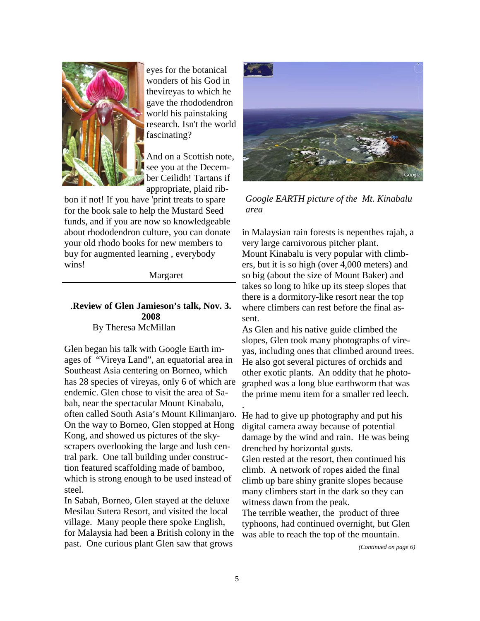

eyes for the botanical wonders of his God in thevireyas to which he gave the rhododendron world his painstaking research. Isn't the world fascinating?

And on a Scottish note, see you at the December Ceilidh! Tartans if appropriate, plaid rib-

bon if not! If you have 'print treats to spare for the book sale to help the Mustard Seed funds, and if you are now so knowledgeable about rhododendron culture, you can donate your old rhodo books for new members to buy for augmented learning , everybody wins!

Margaret

#### .**Review of Glen Jamieson's talk, Nov. 3. 2008** By Theresa McMillan

Glen began his talk with Google Earth images of "Vireya Land", an equatorial area in Southeast Asia centering on Borneo, which has 28 species of vireyas, only 6 of which are endemic. Glen chose to visit the area of Sabah, near the spectacular Mount Kinabalu, often called South Asia's Mount Kilimanjaro. On the way to Borneo, Glen stopped at Hong Kong, and showed us pictures of the skyscrapers overlooking the large and lush central park. One tall building under construction featured scaffolding made of bamboo, which is strong enough to be used instead of steel.

In Sabah, Borneo, Glen stayed at the deluxe Mesilau Sutera Resort, and visited the local village. Many people there spoke English, for Malaysia had been a British colony in the past. One curious plant Glen saw that grows



*Google EARTH picture of the Mt. Kinabalu area*

in Malaysian rain forests is nepenthes rajah, a very large carnivorous pitcher plant. Mount Kinabalu is very popular with climbers, but it is so high (over 4,000 meters) and so big (about the size of Mount Baker) and takes so long to hike up its steep slopes that there is a dormitory-like resort near the top where climbers can rest before the final assent.

As Glen and his native guide climbed the slopes, Glen took many photographs of vireyas, including ones that climbed around trees. He also got several pictures of orchids and other exotic plants. An oddity that he photographed was a long blue earthworm that was the prime menu item for a smaller red leech.

He had to give up photography and put his digital camera away because of potential damage by the wind and rain. He was being drenched by horizontal gusts.

Glen rested at the resort, then continued his climb. A network of ropes aided the final climb up bare shiny granite slopes because many climbers start in the dark so they can witness dawn from the peak.

The terrible weather, the product of three typhoons, had continued overnight, but Glen was able to reach the top of the mountain.

*(Continued on page 6)* 

.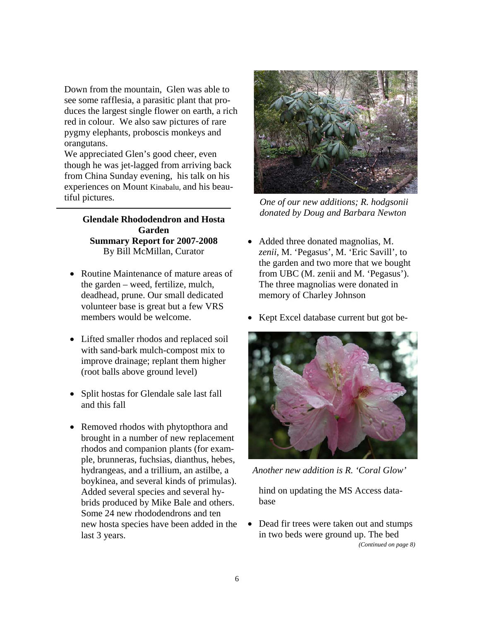Down from the mountain, Glen was able to see some rafflesia, a parasitic plant that produces the largest single flower on earth, a rich red in colour. We also saw pictures of rare pygmy elephants, proboscis monkeys and orangutans.

We appreciated Glen's good cheer, even though he was jet-lagged from arriving back from China Sunday evening, his talk on his experiences on Mount Kinabalu, and his beautiful pictures.

> **Glendale Rhododendron and Hosta Garden Summary Report for 2007-2008**  By Bill McMillan, Curator

- Routine Maintenance of mature areas of the garden – weed, fertilize, mulch, deadhead, prune. Our small dedicated volunteer base is great but a few VRS members would be welcome.
- Lifted smaller rhodos and replaced soil with sand-bark mulch-compost mix to improve drainage; replant them higher (root balls above ground level)
- Split hostas for Glendale sale last fall and this fall
- Removed rhodos with phytopthora and brought in a number of new replacement rhodos and companion plants (for example, brunneras, fuchsias, dianthus, hebes, hydrangeas, and a trillium, an astilbe, a boykinea, and several kinds of primulas). Added several species and several hybrids produced by Mike Bale and others. Some 24 new rhododendrons and ten new hosta species have been added in the last 3 years.



*One of our new additions; R. hodgsonii donated by Doug and Barbara Newton* 

- Added three donated magnolias, M. *zenii*, M. 'Pegasus', M. 'Eric Savill', to the garden and two more that we bought from UBC (M. zenii and M. 'Pegasus'). The three magnolias were donated in memory of Charley Johnson
- Kept Excel database current but got be-



*Another new addition is R. 'Coral Glow'* 

hind on updating the MS Access database

• Dead fir trees were taken out and stumps in two beds were ground up. The bed *(Continued on page 8)*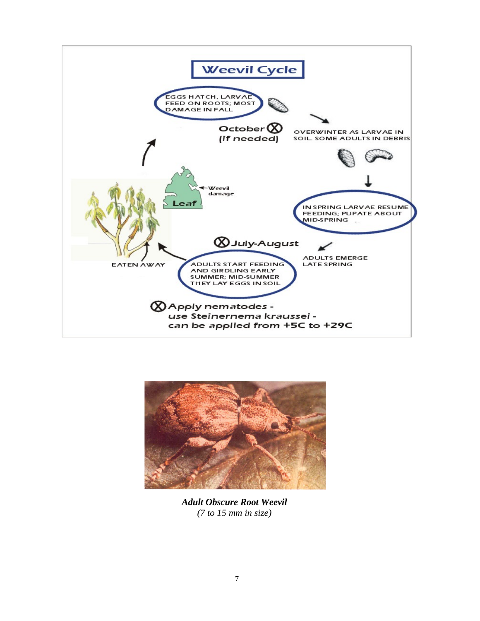



*Adult Obscure Root Weevil (7 to 15 mm in size)*